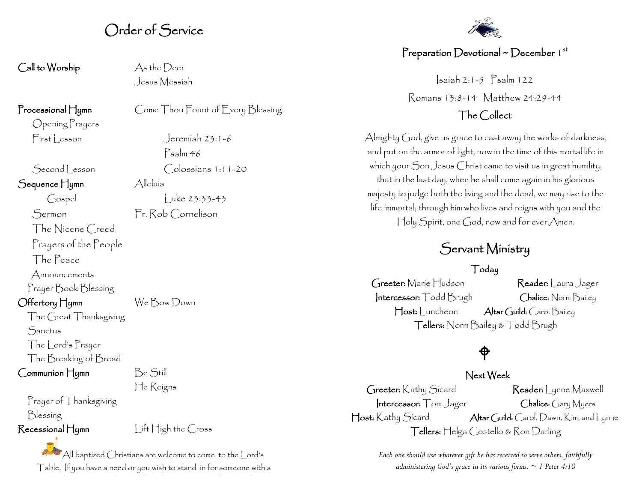### Order of Service

 $\mathsf{Call}$  to Worship  $\qquad \qquad \mathsf{As}\, \mathsf{the}\, \mathsf{Decr}$ 

Opening Prayers

Second lesson Colossians 1:11-20

Sequence Hymn Alleluía

The Nicene Creed

Prayers of the People

The Peace

Announcements

Prayer Book Blessing

Offertory Hymn We Bow Down

The Great Thanksgiving **Sanctus** The Lord's Prayer The Breaking of Bread

Communion Hymn Be Still

He Reigns

Prayer of Thanksgiving Blessing

Recessional Hymn Lift High the Cross

All baptized Christians are welcome to come to the Lord's Table. If you have a need or you wish to stand in for someone with a need, please come to the side altar where someone will provide a little someone will provide with you.<br>The side altar will provide a little with you.

Jesus Messiah

Processional Hymn Come Thou Fount of Every Blessing

First esson Jeremiah 23:1-6 Psalm 46

Gospel Luke 23:33-43 Sermon Fr. Rob Cornelison

#### Preparation Devotional ~ December  $1^{st}$

Isaiah 2:1-5 Psalm 122 Romans 13:8-14 Matthew 24:29-44

#### The Collect

Almighty God, give us grace to cast away the works of darkness, and put on the armor of light, now in the time of this mortal life in which your Son Jesus Christ came to visit us in great humility; that in the last day, when he shall come again in his glorious majesty to judge both the living and the dead, we may rise to the life immortal; through him who lives and reigns with you and the Holy Spirit, one God, now and for ever.Amen.

## Servant Ministry

#### Today

Greeter: Marie Hudson Reader: Laura Jager Intercessor: Todd Brugh Chalice: Norm Bailey Host: Luncheon Altar Guild: Carol Bailey Tellers: Norm Bailey & Todd Brugh

# $\hat{\phi}$

 Next Week Greeter: Kathy Sicard Reader: Lynne Maxwell Intercessor: Tom Jager Chalice: Gary Myers Host: Kathy Sicard Altar Guild: Carol, Dawn, Kim, and Lynne Tellers: Helga Costello & Ron Darling

> *Each one should use whatever gift he has received to serve others, faithfully administering God's grace in its various forms. ~ 1 Peter 4:10*